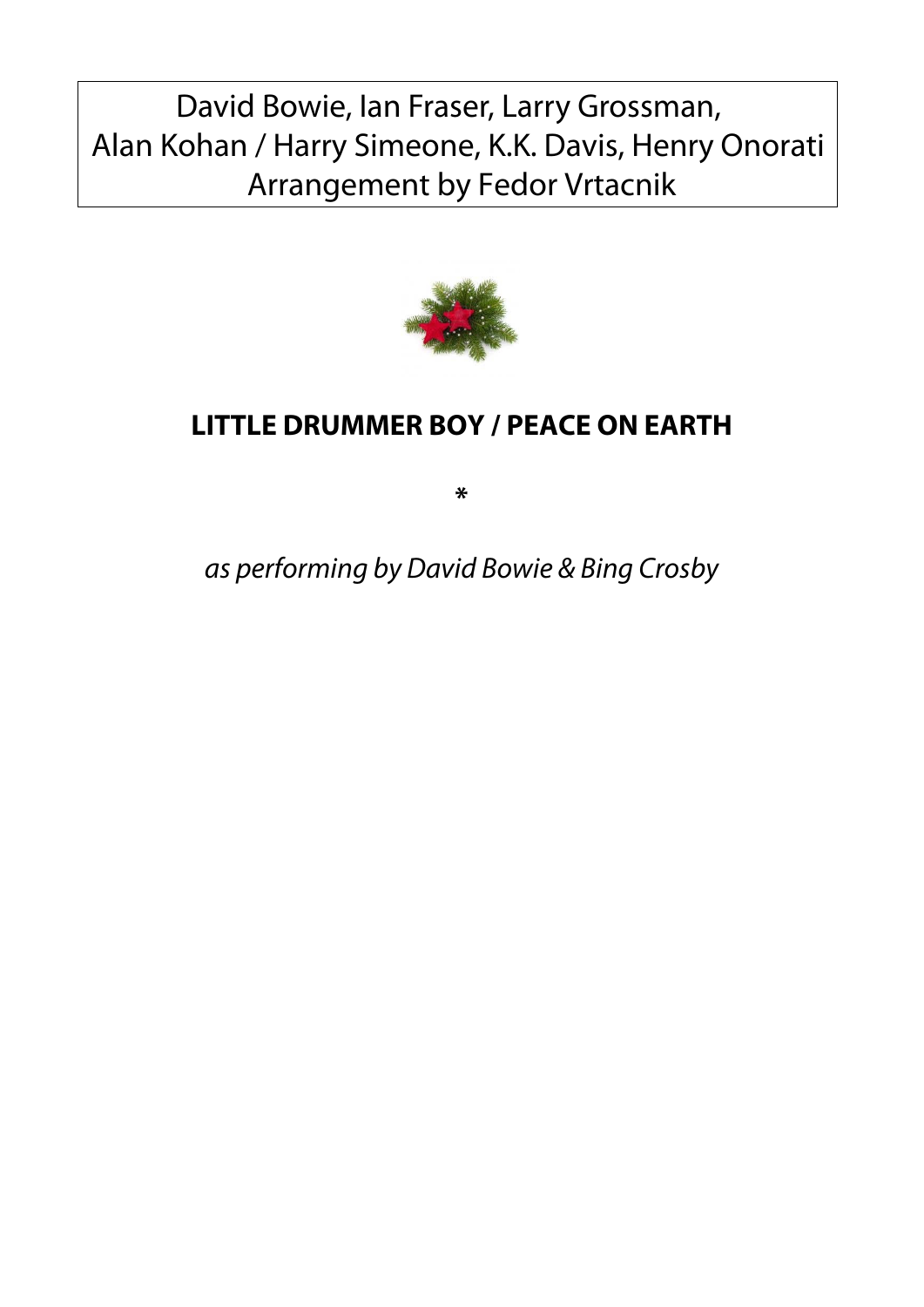## David Bowie, Ian Fraser, Larry Grossman, Alan Kohan / Harry Simeone, K.K. Davis, Henry Onorati Arrangement by Fedor Vrtacnik



## **LITTLE DRUMMER BOY / PEACE ON EARTH**

**\***

as performing by David Bowie & Bing Crosby